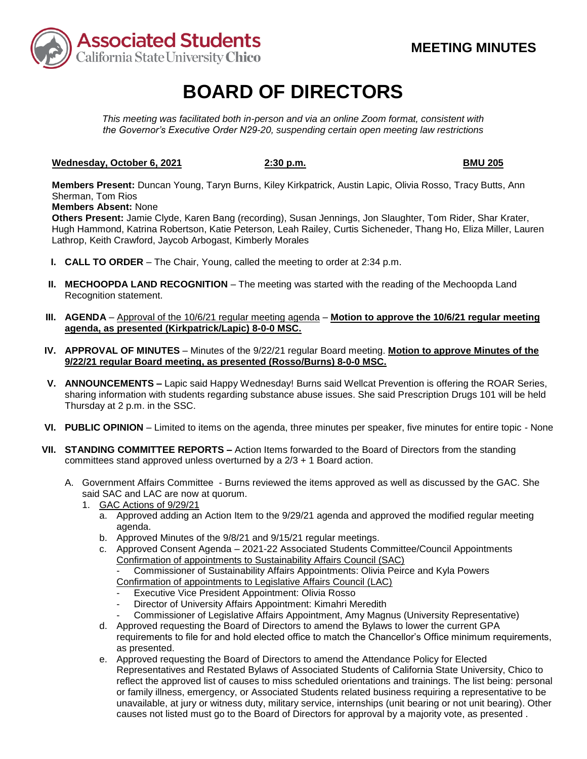

# **BOARD OF DIRECTORS**

*This meeting was facilitated both in-person and via an online Zoom format, consistent with the Governor's Executive Order N29-20, suspending certain open meeting law restrictions* 

### **Wednesday, October 6, 2021** 2:30 p.m. **BMU 205 BMU 205**

**Members Present:** Duncan Young, Taryn Burns, Kiley Kirkpatrick, Austin Lapic, Olivia Rosso, Tracy Butts, Ann Sherman, Tom Rios

### **Members Absent:** None

Others Present: Jamie Clyde, Karen Bang (recording), Susan Jennings, Jon Slaughter, Tom Rider, Shar Krater, Hugh Hammond, Katrina Robertson, Katie Peterson, Leah Railey, Curtis Sicheneder, Thang Ho, Eliza Miller, Lauren Lathrop, Keith Crawford, Jaycob Arbogast, Kimberly Morales

- **I. CALL TO ORDER**  The Chair, Young, called the meeting to order at 2:34 p.m.
- **II. MECHOOPDA LAND RECOGNITION** The meeting was started with the reading of the Mechoopda Land Recognition statement.
- **III. AGENDA**  Approval of the 10/6/21 regular meeting agenda **Motion to approve the 10/6/21 regular meeting agenda, as presented (Kirkpatrick/Lapic) 8-0-0 MSC.**
- **IV. APPROVAL OF MINUTES**  Minutes of the 9/22/21 regular Board meeting. **Motion to approve Minutes of the 9/22/21 regular Board meeting, as presented (Rosso/Burns) 8-0-0 MSC.**
- sharing information with students regarding substance abuse issues. She said Prescription Drugs 101 will be held **V. ANNOUNCEMENTS –** Lapic said Happy Wednesday! Burns said Wellcat Prevention is offering the ROAR Series, Thursday at 2 p.m. in the SSC.
- **VI. PUBLIC OPINION**  Limited to items on the agenda, three minutes per speaker, five minutes for entire topic None
- **VII. STANDING COMMITTEE REPORTS –** Action Items forwarded to the Board of Directors from the standing committees stand approved unless overturned by a 2/3 + 1 Board action.
	- A. Government Affairs Committee Burns reviewed the items approved as well as discussed by the GAC. She said SAC and LAC are now at quorum.
		- 1. GAC Actions of 9/29/21
		- 1. GAC Actions of 9/29/21<br>a. Approved adding an Action Item to the 9/29/21 agenda and approved the modified regular meeting agenda.
			- b. Approved Minutes of the 9/8/21 and 9/15/21 regular meetings.
			- Confirmation of appointments to Sustainability Affairs Council (SAC) c. Approved Consent Agenda – 2021-22 Associated Students Committee/Council Appointments

Commissioner of Sustainability Affairs Appointments: Olivia Peirce and Kyla Powers

- Confirmation of appointments to Legislative Affairs Council (LAC)
- Executive Vice President Appointment: Olivia Rosso
- Director of University Affairs Appointment: Kimahri Meredith
- Commissioner of Legislative Affairs Appointment, Amy Magnus (University Representative)
- d. Approved requesting the Board of Directors to amend the Bylaws to lower the current GPA requirements to file for and hold elected office to match the Chancellor's Office minimum requirements, as presented.
- e. Approved requesting the Board of Directors to amend the Attendance Policy for Elected Representatives and Restated Bylaws of Associated Students of California State University, Chico to reflect the approved list of causes to miss scheduled orientations and trainings. The list being: personal or family illness, emergency, or Associated Students related business requiring a representative to be unavailable, at jury or witness duty, military service, internships (unit bearing or not unit bearing). Other causes not listed must go to the Board of Directors for approval by a majority vote, as presented .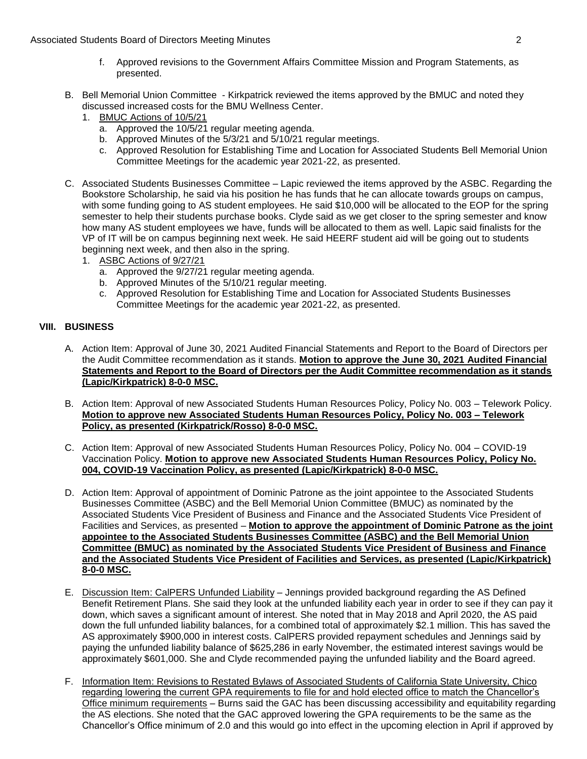- f. Approved revisions to the Government Affairs Committee Mission and Program Statements, as presented.
- B. Bell Memorial Union Committee Kirkpatrick reviewed the items approved by the BMUC and noted they discussed increased costs for the BMU Wellness Center.
	- 1. BMUC Actions of 10/5/21
		- a. Approved the  $10/5/21$  regular meeting agenda.
		- b. Approved Minutes of the 5/3/21 and 5/10/21 regular meetings.
		- c. Approved Resolution for Establishing Time and Location for Associated Students Bell Memorial Union Committee Meetings for the academic year 2021-22, as presented.
- C. Associated Students Businesses Committee Lapic reviewed the items approved by the ASBC. Regarding the with some funding going to AS student employees. He said \$10,000 will be allocated to the EOP for the spring how many AS student employees we have, funds will be allocated to them as well. Lapic said finalists for the Bookstore Scholarship, he said via his position he has funds that he can allocate towards groups on campus, semester to help their students purchase books. Clyde said as we get closer to the spring semester and know VP of IT will be on campus beginning next week. He said HEERF student aid will be going out to students beginning next week, and then also in the spring.
	- 1. ASBC Actions of 9/27/21
		- a. Approved the 9/27/21 regular meeting agenda.
		- b. Approved Minutes of the 5/10/21 regular meeting.
		- c. Approved Resolution for Establishing Time and Location for Associated Students Businesses Committee Meetings for the academic year 2021-22, as presented.

## **VIII. BUSINESS**

- A. Action Item: Approval of June 30, 2021 Audited Financial Statements and Report to the Board of Directors per the Audit Committee recommendation as it stands. **Motion to approve the June 30, 2021 Audited Financial Statements and Report to the Board of Directors per the Audit Committee recommendation as it stands (Lapic/Kirkpatrick) 8-0-0 MSC.**
- B. Action Item: Approval of new Associated Students Human Resources Policy, Policy No. 003 Telework Policy. **Motion to approve new Associated Students Human Resources Policy, Policy No. 003 – Telework Policy, as presented (Kirkpatrick/Rosso) 8-0-0 MSC.**
- C. Action Item: Approval of new Associated Students Human Resources Policy, Policy No. 004 COVID-19 Vaccination Policy. **Motion to approve new Associated Students Human Resources Policy, Policy No. 004, COVID-19 Vaccination Policy, as presented (Lapic/Kirkpatrick) 8-0-0 MSC.**
- D. Action Item: Approval of appointment of Dominic Patrone as the joint appointee to the Associated Students Businesses Committee (ASBC) and the Bell Memorial Union Committee (BMUC) as nominated by the Associated Students Vice President of Business and Finance and the Associated Students Vice President of Facilities and Services, as presented – **Motion to approve the appointment of Dominic Patrone as the joint appointee to the Associated Students Businesses Committee (ASBC) and the Bell Memorial Union Committee (BMUC) as nominated by the Associated Students Vice President of Business and Finance and the Associated Students Vice President of Facilities and Services, as presented (Lapic/Kirkpatrick) 8-0-0 MSC.**
- Benefit Retirement Plans. She said they look at the unfunded liability each year in order to see if they can pay it paying the unfunded liability balance of \$625,286 in early November, the estimated interest savings would be approximately \$601,000. She and Clyde recommended paying the unfunded liability and the Board agreed. E. Discussion Item: CalPERS Unfunded Liability – Jennings provided background regarding the AS Defined down, which saves a significant amount of interest. She noted that in May 2018 and April 2020, the AS paid down the full unfunded liability balances, for a combined total of approximately \$2.1 million. This has saved the AS approximately \$900,000 in interest costs. CalPERS provided repayment schedules and Jennings said by
- Chancellor's Office minimum of 2.0 and this would go into effect in the upcoming election in April if approved by F. Information Item: Revisions to Restated Bylaws of Associated Students of California State University, Chico regarding lowering the current GPA requirements to file for and hold elected office to match the Chancellor's Office minimum requirements – Burns said the GAC has been discussing accessibility and equitability regarding the AS elections. She noted that the GAC approved lowering the GPA requirements to be the same as the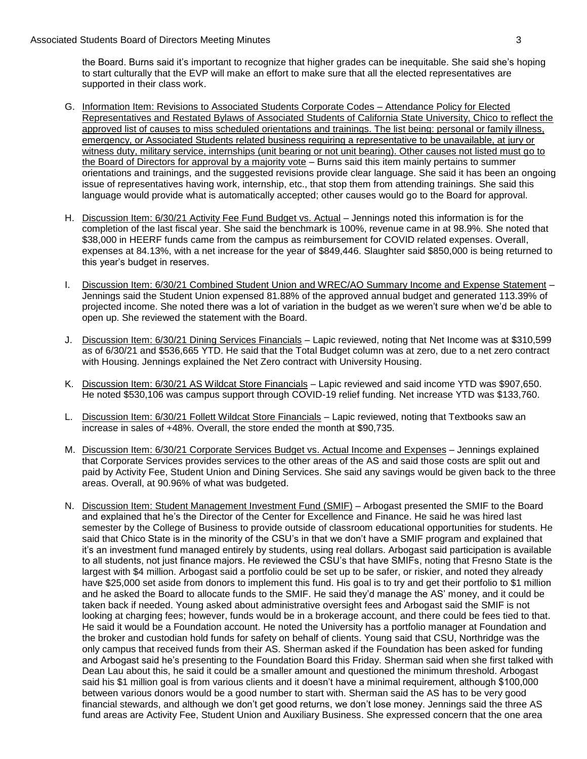to start culturally that the EVP will make an effort to make sure that all the elected representatives are the Board. Burns said it's important to recognize that higher grades can be inequitable. She said she's hoping supported in their class work.

- issue of representatives having work, internship, etc., that stop them from attending trainings. She said this G. Information Item: Revisions to Associated Students Corporate Codes – Attendance Policy for Elected Representatives and Restated Bylaws of Associated Students of California State University, Chico to reflect the approved list of causes to miss scheduled orientations and trainings. The list being: personal or family illness, emergency, or Associated Students related business requiring a representative to be unavailable, at jury or witness duty, military service, internships (unit bearing or not unit bearing). Other causes not listed must go to the Board of Directors for approval by a majority vote – Burns said this item mainly pertains to summer orientations and trainings, and the suggested revisions provide clear language. She said it has been an ongoing language would provide what is automatically accepted; other causes would go to the Board for approval.
- this year's budget in reserves. H. Discussion Item: 6/30/21 Activity Fee Fund Budget vs. Actual - Jennings noted this information is for the completion of the last fiscal year. She said the benchmark is 100%, revenue came in at 98.9%. She noted that \$38,000 in HEERF funds came from the campus as reimbursement for COVID related expenses. Overall, expenses at 84.13%, with a net increase for the year of \$849,446. Slaughter said \$850,000 is being returned to
- Jennings said the Student Union expensed 81.88% of the approved annual budget and generated 113.39% of I. Discussion Item: 6/30/21 Combined Student Union and WREC/AO Summary Income and Expense Statement projected income. She noted there was a lot of variation in the budget as we weren't sure when we'd be able to open up. She reviewed the statement with the Board.
- J. Discussion Item: 6/30/21 Dining Services Financials Lapic reviewed, noting that Net Income was at \$310,599 as of 6/30/21 and \$536,665 YTD. He said that the Total Budget column was at zero, due to a net zero contract with Housing. Jennings explained the Net Zero contract with University Housing.
- He noted \$530,106 was campus support through COVID-19 relief funding. Net increase YTD was \$133,760. K. Discussion Item: 6/30/21 AS Wildcat Store Financials – Lapic reviewed and said income YTD was \$907,650.
- L. Discussion Item: 6/30/21 Follett Wildcat Store Financials Lapic reviewed, noting that Textbooks saw an increase in sales of +48%. Overall, the store ended the month at \$90,735.
- M. Discussion Item: 6/30/21 Corporate Services Budget vs. Actual Income and Expenses Jennings explained that Corporate Services provides services to the other areas of the AS and said those costs are split out and paid by Activity Fee, Student Union and Dining Services. She said any savings would be given back to the three areas. Overall, at 90.96% of what was budgeted.
- He said it would be a Foundation account. He noted the University has a portfolio manager at Foundation and the broker and custodian hold funds for safety on behalf of clients. Young said that CSU, Northridge was the between various donors would be a good number to start with. Sherman said the AS has to be very good N. Discussion Item: Student Management Investment Fund (SMIF) – Arbogast presented the SMIF to the Board and explained that he's the Director of the Center for Excellence and Finance. He said he was hired last semester by the College of Business to provide outside of classroom educational opportunities for students. He said that Chico State is in the minority of the CSU's in that we don't have a SMIF program and explained that it's an investment fund managed entirely by students, using real dollars. Arbogast said participation is available to all students, not just finance majors. He reviewed the CSU's that have SMIFs, noting that Fresno State is the largest with \$4 million. Arbogast said a portfolio could be set up to be safer, or riskier, and noted they already have \$25,000 set aside from donors to implement this fund. His goal is to try and get their portfolio to \$1 million and he asked the Board to allocate funds to the SMIF. He said they'd manage the AS' money, and it could be taken back if needed. Young asked about administrative oversight fees and Arbogast said the SMIF is not looking at charging fees; however, funds would be in a brokerage account, and there could be fees tied to that. only campus that received funds from their AS. Sherman asked if the Foundation has been asked for funding and Arbogast said he's presenting to the Foundation Board this Friday. Sherman said when she first talked with Dean Lau about this, he said it could be a smaller amount and questioned the minimum threshold. Arbogast said his \$1 million goal is from various clients and it doesn't have a minimal requirement, although \$100,000 financial stewards, and although we don't get good returns, we don't lose money. Jennings said the three AS fund areas are Activity Fee, Student Union and Auxiliary Business. She expressed concern that the one area